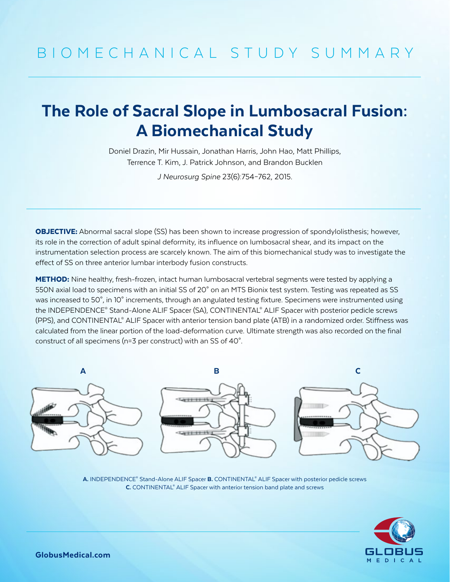## The Role of Sacral Slope in Lumbosacral Fusion: A Biomechanical Study

Doniel Drazin, Mir Hussain, Jonathan Harris, John Hao, Matt Phillips, Terrence T. Kim, J. Patrick Johnson, and Brandon Bucklen

*J Neurosurg Spine* 23(6):754–762, 2015.

**OBJECTIVE:** Abnormal sacral slope (SS) has been shown to increase progression of spondylolisthesis; however, its role in the correction of adult spinal deformity, its influence on lumbosacral shear, and its impact on the instrumentation selection process are scarcely known. The aim of this biomechanical study was to investigate the effect of SS on three anterior lumbar interbody fusion constructs.

METHOD: Nine healthy, fresh-frozen, intact human lumbosacral vertebral segments were tested by applying a 550N axial load to specimens with an initial SS of 20° on an MTS Bionix test system. Testing was repeated as SS was increased to 50°, in 10° increments, through an angulated testing fixture. Specimens were instrumented using the INDEPENDENCE® Stand-Alone ALIF Spacer (SA), CONTINENTAL® ALIF Spacer with posterior pedicle screws (PPS), and CONTINENTAL® ALIF Spacer with anterior tension band plate (ATB) in a randomized order. Stiffness was calculated from the linear portion of the load-deformation curve. Ultimate strength was also recorded on the final construct of all specimens (n=3 per construct) with an SS of 40°.



A. INDEPENDENCE® Stand-Alone ALIF Spacer B. CONTINENTAL® ALIF Spacer with posterior pedicle screws C. CONTINENTAL<sup>®</sup> ALIF Spacer with anterior tension band plate and screws



GlobusMedical.com